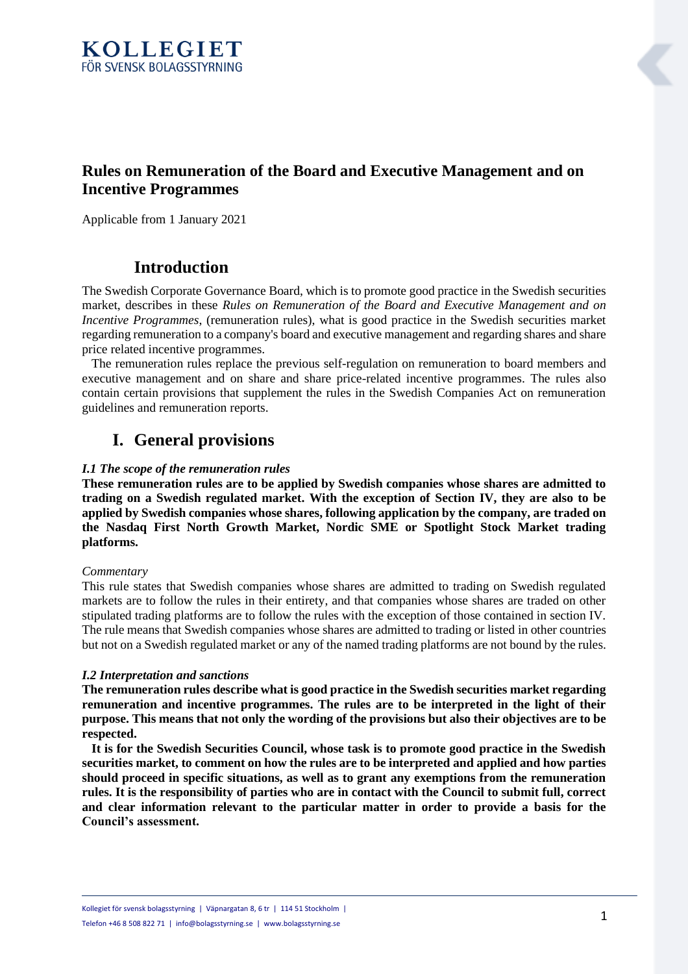

## **Rules on Remuneration of the Board and Executive Management and on Incentive Programmes**

Applicable from 1 January 2021

## **Introduction**

The Swedish Corporate Governance Board, which is to promote good practice in the Swedish securities market, describes in these *Rules on Remuneration of the Board and Executive Management and on Incentive Programmes*, (remuneration rules), what is good practice in the Swedish securities market regarding remuneration to a company's board and executive management and regarding shares and share price related incentive programmes.

 The remuneration rules replace the previous self-regulation on remuneration to board members and executive management and on share and share price-related incentive programmes. The rules also contain certain provisions that supplement the rules in the Swedish Companies Act on remuneration guidelines and remuneration reports.

## **I. General provisions**

## *I.1 The scope of the remuneration rules*

**These remuneration rules are to be applied by Swedish companies whose shares are admitted to trading on a Swedish regulated market. With the exception of Section IV, they are also to be applied by Swedish companies whose shares, following application by the company, are traded on the Nasdaq First North Growth Market, Nordic SME or Spotlight Stock Market trading platforms.**

## *Commentary*

This rule states that Swedish companies whose shares are admitted to trading on Swedish regulated markets are to follow the rules in their entirety, and that companies whose shares are traded on other stipulated trading platforms are to follow the rules with the exception of those contained in section IV. The rule means that Swedish companies whose shares are admitted to trading or listed in other countries but not on a Swedish regulated market or any of the named trading platforms are not bound by the rules.

## *I.2 Interpretation and sanctions*

**The remuneration rules describe what is good practice in the Swedish securities market regarding remuneration and incentive programmes. The rules are to be interpreted in the light of their purpose. This means that not only the wording of the provisions but also their objectives are to be respected.**

 **It is for the Swedish Securities Council, whose task is to promote good practice in the Swedish securities market, to comment on how the rules are to be interpreted and applied and how parties should proceed in specific situations, as well as to grant any exemptions from the remuneration rules. It is the responsibility of parties who are in contact with the Council to submit full, correct and clear information relevant to the particular matter in order to provide a basis for the Council's assessment.**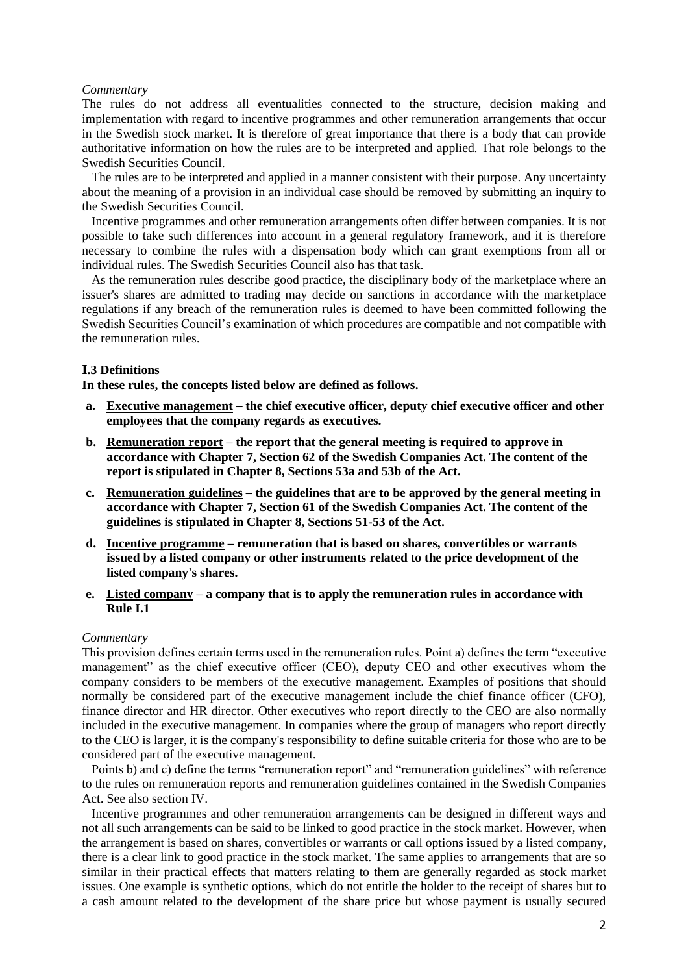#### *Commentary*

The rules do not address all eventualities connected to the structure, decision making and implementation with regard to incentive programmes and other remuneration arrangements that occur in the Swedish stock market. It is therefore of great importance that there is a body that can provide authoritative information on how the rules are to be interpreted and applied. That role belongs to the Swedish Securities Council.

 The rules are to be interpreted and applied in a manner consistent with their purpose. Any uncertainty about the meaning of a provision in an individual case should be removed by submitting an inquiry to the Swedish Securities Council.

 Incentive programmes and other remuneration arrangements often differ between companies. It is not possible to take such differences into account in a general regulatory framework, and it is therefore necessary to combine the rules with a dispensation body which can grant exemptions from all or individual rules. The Swedish Securities Council also has that task.

 As the remuneration rules describe good practice, the disciplinary body of the marketplace where an issuer's shares are admitted to trading may decide on sanctions in accordance with the marketplace regulations if any breach of the remuneration rules is deemed to have been committed following the Swedish Securities Council's examination of which procedures are compatible and not compatible with the remuneration rules.

## **I.3 Definitions**

**In these rules, the concepts listed below are defined as follows.**

- **a. Executive management – the chief executive officer, deputy chief executive officer and other employees that the company regards as executives.**
- **b. Remuneration report – the report that the general meeting is required to approve in accordance with Chapter 7, Section 62 of the Swedish Companies Act. The content of the report is stipulated in Chapter 8, Sections 53a and 53b of the Act.**
- **c. Remuneration guidelines – the guidelines that are to be approved by the general meeting in accordance with Chapter 7, Section 61 of the Swedish Companies Act. The content of the guidelines is stipulated in Chapter 8, Sections 51-53 of the Act.**
- **d. Incentive programme – remuneration that is based on shares, convertibles or warrants issued by a listed company or other instruments related to the price development of the listed company's shares.**
- **e. Listed company – a company that is to apply the remuneration rules in accordance with Rule I.1**

#### *Commentary*

This provision defines certain terms used in the remuneration rules. Point a) defines the term "executive management" as the chief executive officer (CEO), deputy CEO and other executives whom the company considers to be members of the executive management. Examples of positions that should normally be considered part of the executive management include the chief finance officer (CFO), finance director and HR director. Other executives who report directly to the CEO are also normally included in the executive management. In companies where the group of managers who report directly to the CEO is larger, it is the company's responsibility to define suitable criteria for those who are to be considered part of the executive management.

 Points b) and c) define the terms "remuneration report" and "remuneration guidelines" with reference to the rules on remuneration reports and remuneration guidelines contained in the Swedish Companies Act. See also section IV.

 Incentive programmes and other remuneration arrangements can be designed in different ways and not all such arrangements can be said to be linked to good practice in the stock market. However, when the arrangement is based on shares, convertibles or warrants or call options issued by a listed company, there is a clear link to good practice in the stock market. The same applies to arrangements that are so similar in their practical effects that matters relating to them are generally regarded as stock market issues. One example is synthetic options, which do not entitle the holder to the receipt of shares but to a cash amount related to the development of the share price but whose payment is usually secured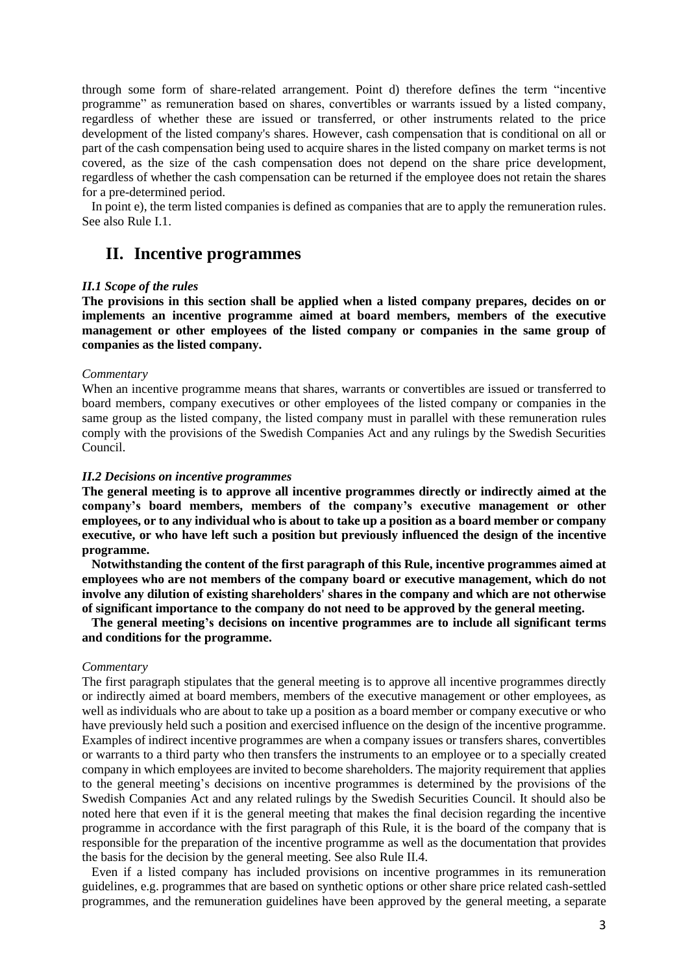through some form of share-related arrangement. Point d) therefore defines the term "incentive programme" as remuneration based on shares, convertibles or warrants issued by a listed company, regardless of whether these are issued or transferred, or other instruments related to the price development of the listed company's shares. However, cash compensation that is conditional on all or part of the cash compensation being used to acquire shares in the listed company on market terms is not covered, as the size of the cash compensation does not depend on the share price development, regardless of whether the cash compensation can be returned if the employee does not retain the shares for a pre-determined period.

 In point e), the term listed companies is defined as companies that are to apply the remuneration rules. See also Rule I.1.

## **II. Incentive programmes**

#### *II.1 Scope of the rules*

**The provisions in this section shall be applied when a listed company prepares, decides on or implements an incentive programme aimed at board members, members of the executive management or other employees of the listed company or companies in the same group of companies as the listed company.**

#### *Commentary*

When an incentive programme means that shares, warrants or convertibles are issued or transferred to board members, company executives or other employees of the listed company or companies in the same group as the listed company, the listed company must in parallel with these remuneration rules comply with the provisions of the Swedish Companies Act and any rulings by the Swedish Securities Council.

#### *II.2 Decisions on incentive programmes*

**The general meeting is to approve all incentive programmes directly or indirectly aimed at the company's board members, members of the company's executive management or other employees, or to any individual who is about to take up a position as a board member or company executive, or who have left such a position but previously influenced the design of the incentive programme.**

 **Notwithstanding the content of the first paragraph of this Rule, incentive programmes aimed at employees who are not members of the company board or executive management, which do not involve any dilution of existing shareholders' shares in the company and which are not otherwise of significant importance to the company do not need to be approved by the general meeting.**

 **The general meeting's decisions on incentive programmes are to include all significant terms and conditions for the programme.**

#### *Commentary*

The first paragraph stipulates that the general meeting is to approve all incentive programmes directly or indirectly aimed at board members, members of the executive management or other employees, as well as individuals who are about to take up a position as a board member or company executive or who have previously held such a position and exercised influence on the design of the incentive programme. Examples of indirect incentive programmes are when a company issues or transfers shares, convertibles or warrants to a third party who then transfers the instruments to an employee or to a specially created company in which employees are invited to become shareholders. The majority requirement that applies to the general meeting's decisions on incentive programmes is determined by the provisions of the Swedish Companies Act and any related rulings by the Swedish Securities Council. It should also be noted here that even if it is the general meeting that makes the final decision regarding the incentive programme in accordance with the first paragraph of this Rule, it is the board of the company that is responsible for the preparation of the incentive programme as well as the documentation that provides the basis for the decision by the general meeting. See also Rule II.4.

 Even if a listed company has included provisions on incentive programmes in its remuneration guidelines, e.g. programmes that are based on synthetic options or other share price related cash-settled programmes, and the remuneration guidelines have been approved by the general meeting, a separate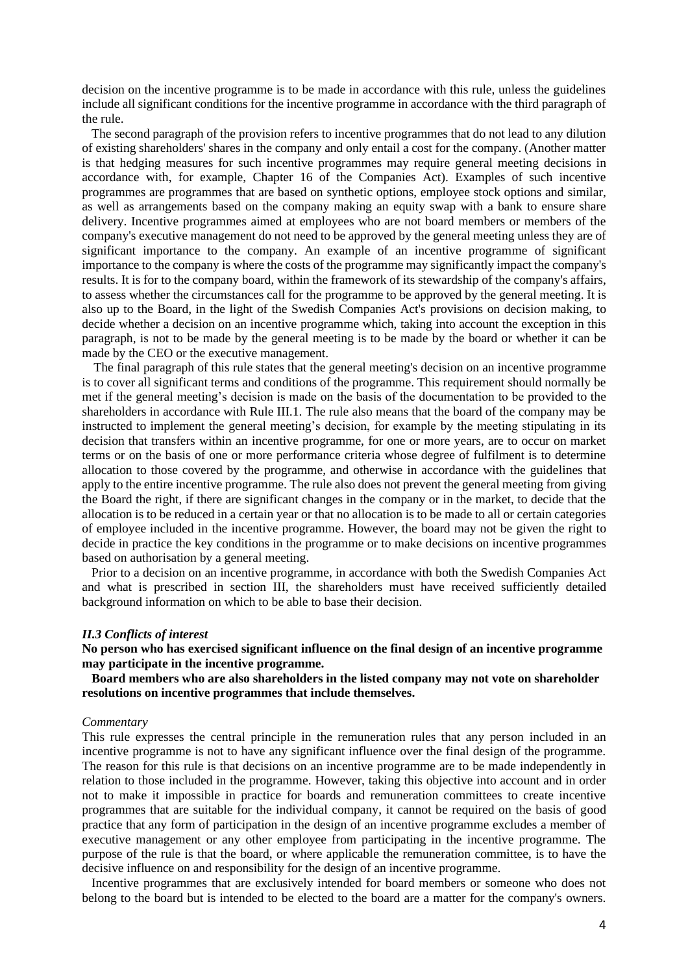decision on the incentive programme is to be made in accordance with this rule, unless the guidelines include all significant conditions for the incentive programme in accordance with the third paragraph of the rule.

 The second paragraph of the provision refers to incentive programmes that do not lead to any dilution of existing shareholders' shares in the company and only entail a cost for the company. (Another matter is that hedging measures for such incentive programmes may require general meeting decisions in accordance with, for example, Chapter 16 of the Companies Act). Examples of such incentive programmes are programmes that are based on synthetic options, employee stock options and similar, as well as arrangements based on the company making an equity swap with a bank to ensure share delivery. Incentive programmes aimed at employees who are not board members or members of the company's executive management do not need to be approved by the general meeting unless they are of significant importance to the company. An example of an incentive programme of significant importance to the company is where the costs of the programme may significantly impact the company's results. It is for to the company board, within the framework of its stewardship of the company's affairs, to assess whether the circumstances call for the programme to be approved by the general meeting. It is also up to the Board, in the light of the Swedish Companies Act's provisions on decision making, to decide whether a decision on an incentive programme which, taking into account the exception in this paragraph, is not to be made by the general meeting is to be made by the board or whether it can be made by the CEO or the executive management.

 The final paragraph of this rule states that the general meeting's decision on an incentive programme is to cover all significant terms and conditions of the programme. This requirement should normally be met if the general meeting's decision is made on the basis of the documentation to be provided to the shareholders in accordance with Rule III.1. The rule also means that the board of the company may be instructed to implement the general meeting's decision, for example by the meeting stipulating in its decision that transfers within an incentive programme, for one or more years, are to occur on market terms or on the basis of one or more performance criteria whose degree of fulfilment is to determine allocation to those covered by the programme, and otherwise in accordance with the guidelines that apply to the entire incentive programme. The rule also does not prevent the general meeting from giving the Board the right, if there are significant changes in the company or in the market, to decide that the allocation is to be reduced in a certain year or that no allocation is to be made to all or certain categories of employee included in the incentive programme. However, the board may not be given the right to decide in practice the key conditions in the programme or to make decisions on incentive programmes based on authorisation by a general meeting.

 Prior to a decision on an incentive programme, in accordance with both the Swedish Companies Act and what is prescribed in section III, the shareholders must have received sufficiently detailed background information on which to be able to base their decision.

#### *II.3 Conflicts of interest*

**No person who has exercised significant influence on the final design of an incentive programme may participate in the incentive programme.**

 **Board members who are also shareholders in the listed company may not vote on shareholder resolutions on incentive programmes that include themselves.**

#### *Commentary*

This rule expresses the central principle in the remuneration rules that any person included in an incentive programme is not to have any significant influence over the final design of the programme. The reason for this rule is that decisions on an incentive programme are to be made independently in relation to those included in the programme. However, taking this objective into account and in order not to make it impossible in practice for boards and remuneration committees to create incentive programmes that are suitable for the individual company, it cannot be required on the basis of good practice that any form of participation in the design of an incentive programme excludes a member of executive management or any other employee from participating in the incentive programme. The purpose of the rule is that the board, or where applicable the remuneration committee, is to have the decisive influence on and responsibility for the design of an incentive programme.

 Incentive programmes that are exclusively intended for board members or someone who does not belong to the board but is intended to be elected to the board are a matter for the company's owners.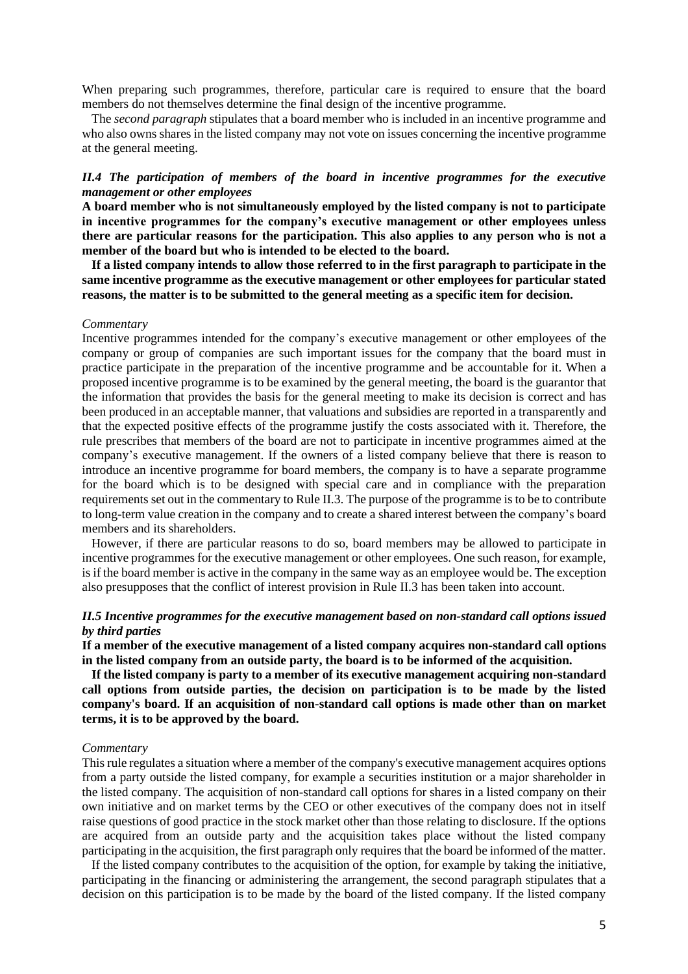When preparing such programmes, therefore, particular care is required to ensure that the board members do not themselves determine the final design of the incentive programme.

 The *second paragraph* stipulates that a board member who is included in an incentive programme and who also owns shares in the listed company may not vote on issues concerning the incentive programme at the general meeting.

## *II.4 The participation of members of the board in incentive programmes for the executive management or other employees*

**A board member who is not simultaneously employed by the listed company is not to participate in incentive programmes for the company's executive management or other employees unless there are particular reasons for the participation. This also applies to any person who is not a member of the board but who is intended to be elected to the board.**

 **If a listed company intends to allow those referred to in the first paragraph to participate in the same incentive programme as the executive management or other employees for particular stated reasons, the matter is to be submitted to the general meeting as a specific item for decision.**

#### *Commentary*

Incentive programmes intended for the company's executive management or other employees of the company or group of companies are such important issues for the company that the board must in practice participate in the preparation of the incentive programme and be accountable for it. When a proposed incentive programme is to be examined by the general meeting, the board is the guarantor that the information that provides the basis for the general meeting to make its decision is correct and has been produced in an acceptable manner, that valuations and subsidies are reported in a transparently and that the expected positive effects of the programme justify the costs associated with it. Therefore, the rule prescribes that members of the board are not to participate in incentive programmes aimed at the company's executive management. If the owners of a listed company believe that there is reason to introduce an incentive programme for board members, the company is to have a separate programme for the board which is to be designed with special care and in compliance with the preparation requirements set out in the commentary to Rule II.3. The purpose of the programme is to be to contribute to long-term value creation in the company and to create a shared interest between the company's board members and its shareholders.

 However, if there are particular reasons to do so, board members may be allowed to participate in incentive programmes for the executive management or other employees. One such reason, for example, is if the board member is active in the company in the same way as an employee would be. The exception also presupposes that the conflict of interest provision in Rule II.3 has been taken into account.

### *II.5 Incentive programmes for the executive management based on non-standard call options issued by third parties*

**If a member of the executive management of a listed company acquires non-standard call options in the listed company from an outside party, the board is to be informed of the acquisition.**

 **If the listed company is party to a member of its executive management acquiring non-standard call options from outside parties, the decision on participation is to be made by the listed company's board. If an acquisition of non-standard call options is made other than on market terms, it is to be approved by the board.**

#### *Commentary*

This rule regulates a situation where a member of the company's executive management acquires options from a party outside the listed company, for example a securities institution or a major shareholder in the listed company. The acquisition of non-standard call options for shares in a listed company on their own initiative and on market terms by the CEO or other executives of the company does not in itself raise questions of good practice in the stock market other than those relating to disclosure. If the options are acquired from an outside party and the acquisition takes place without the listed company participating in the acquisition, the first paragraph only requires that the board be informed of the matter.

 If the listed company contributes to the acquisition of the option, for example by taking the initiative, participating in the financing or administering the arrangement, the second paragraph stipulates that a decision on this participation is to be made by the board of the listed company. If the listed company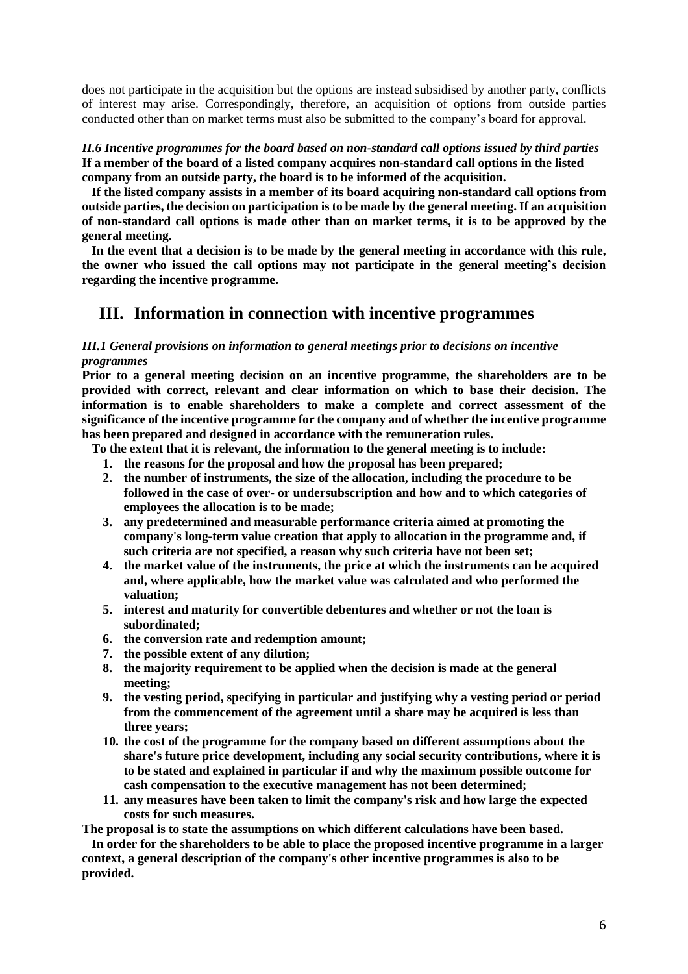does not participate in the acquisition but the options are instead subsidised by another party, conflicts of interest may arise. Correspondingly, therefore, an acquisition of options from outside parties conducted other than on market terms must also be submitted to the company's board for approval.

*II.6 Incentive programmes for the board based on non-standard call options issued by third parties* **If a member of the board of a listed company acquires non-standard call options in the listed company from an outside party, the board is to be informed of the acquisition.**

 **If the listed company assists in a member of its board acquiring non-standard call options from outside parties, the decision on participation is to be made by the general meeting. If an acquisition of non-standard call options is made other than on market terms, it is to be approved by the general meeting.**

 **In the event that a decision is to be made by the general meeting in accordance with this rule, the owner who issued the call options may not participate in the general meeting's decision regarding the incentive programme.** 

## **III. Information in connection with incentive programmes**

## *III.1 General provisions on information to general meetings prior to decisions on incentive programmes*

**Prior to a general meeting decision on an incentive programme, the shareholders are to be provided with correct, relevant and clear information on which to base their decision. The information is to enable shareholders to make a complete and correct assessment of the significance of the incentive programme for the company and of whether the incentive programme has been prepared and designed in accordance with the remuneration rules.**

 **To the extent that it is relevant, the information to the general meeting is to include:**

- **1. the reasons for the proposal and how the proposal has been prepared;**
- **2. the number of instruments, the size of the allocation, including the procedure to be followed in the case of over- or undersubscription and how and to which categories of employees the allocation is to be made;**
- **3. any predetermined and measurable performance criteria aimed at promoting the company's long-term value creation that apply to allocation in the programme and, if such criteria are not specified, a reason why such criteria have not been set;**
- **4. the market value of the instruments, the price at which the instruments can be acquired and, where applicable, how the market value was calculated and who performed the valuation;**
- **5. interest and maturity for convertible debentures and whether or not the loan is subordinated;**
- **6. the conversion rate and redemption amount;**
- **7. the possible extent of any dilution;**
- **8. the majority requirement to be applied when the decision is made at the general meeting;**
- **9. the vesting period, specifying in particular and justifying why a vesting period or period from the commencement of the agreement until a share may be acquired is less than three years;**
- **10. the cost of the programme for the company based on different assumptions about the share's future price development, including any social security contributions, where it is to be stated and explained in particular if and why the maximum possible outcome for cash compensation to the executive management has not been determined;**
- **11. any measures have been taken to limit the company's risk and how large the expected costs for such measures.**

**The proposal is to state the assumptions on which different calculations have been based.**

 **In order for the shareholders to be able to place the proposed incentive programme in a larger context, a general description of the company's other incentive programmes is also to be provided.**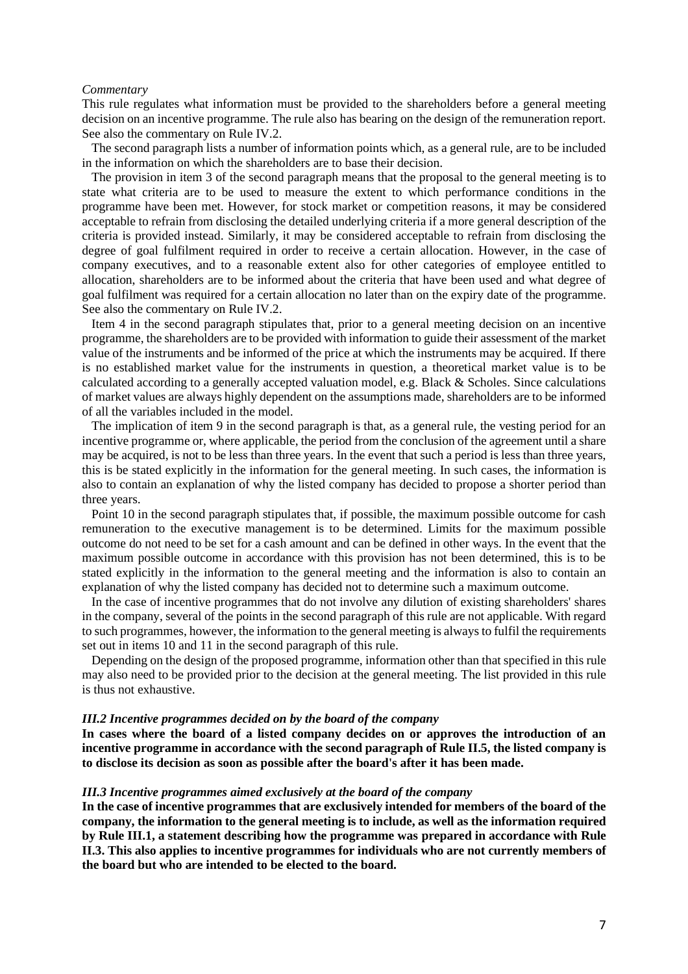#### *Commentary*

This rule regulates what information must be provided to the shareholders before a general meeting decision on an incentive programme. The rule also has bearing on the design of the remuneration report. See also the commentary on Rule IV.2.

 The second paragraph lists a number of information points which, as a general rule, are to be included in the information on which the shareholders are to base their decision.

 The provision in item 3 of the second paragraph means that the proposal to the general meeting is to state what criteria are to be used to measure the extent to which performance conditions in the programme have been met. However, for stock market or competition reasons, it may be considered acceptable to refrain from disclosing the detailed underlying criteria if a more general description of the criteria is provided instead. Similarly, it may be considered acceptable to refrain from disclosing the degree of goal fulfilment required in order to receive a certain allocation. However, in the case of company executives, and to a reasonable extent also for other categories of employee entitled to allocation, shareholders are to be informed about the criteria that have been used and what degree of goal fulfilment was required for a certain allocation no later than on the expiry date of the programme. See also the commentary on Rule IV.2.

 Item 4 in the second paragraph stipulates that, prior to a general meeting decision on an incentive programme, the shareholders are to be provided with information to guide their assessment of the market value of the instruments and be informed of the price at which the instruments may be acquired. If there is no established market value for the instruments in question, a theoretical market value is to be calculated according to a generally accepted valuation model, e.g. Black & Scholes. Since calculations of market values are always highly dependent on the assumptions made, shareholders are to be informed of all the variables included in the model.

 The implication of item 9 in the second paragraph is that, as a general rule, the vesting period for an incentive programme or, where applicable, the period from the conclusion of the agreement until a share may be acquired, is not to be less than three years. In the event that such a period is less than three years, this is be stated explicitly in the information for the general meeting. In such cases, the information is also to contain an explanation of why the listed company has decided to propose a shorter period than three years.

 Point 10 in the second paragraph stipulates that, if possible, the maximum possible outcome for cash remuneration to the executive management is to be determined. Limits for the maximum possible outcome do not need to be set for a cash amount and can be defined in other ways. In the event that the maximum possible outcome in accordance with this provision has not been determined, this is to be stated explicitly in the information to the general meeting and the information is also to contain an explanation of why the listed company has decided not to determine such a maximum outcome.

 In the case of incentive programmes that do not involve any dilution of existing shareholders' shares in the company, several of the points in the second paragraph of this rule are not applicable. With regard to such programmes, however, the information to the general meeting is always to fulfil the requirements set out in items 10 and 11 in the second paragraph of this rule.

 Depending on the design of the proposed programme, information other than that specified in this rule may also need to be provided prior to the decision at the general meeting. The list provided in this rule is thus not exhaustive.

### *III.2 Incentive programmes decided on by the board of the company*

**In cases where the board of a listed company decides on or approves the introduction of an incentive programme in accordance with the second paragraph of Rule II.5, the listed company is to disclose its decision as soon as possible after the board's after it has been made.**

#### *III.3 Incentive programmes aimed exclusively at the board of the company*

**In the case of incentive programmes that are exclusively intended for members of the board of the company, the information to the general meeting is to include, as well as the information required by Rule III.1, a statement describing how the programme was prepared in accordance with Rule II.3. This also applies to incentive programmes for individuals who are not currently members of the board but who are intended to be elected to the board.**